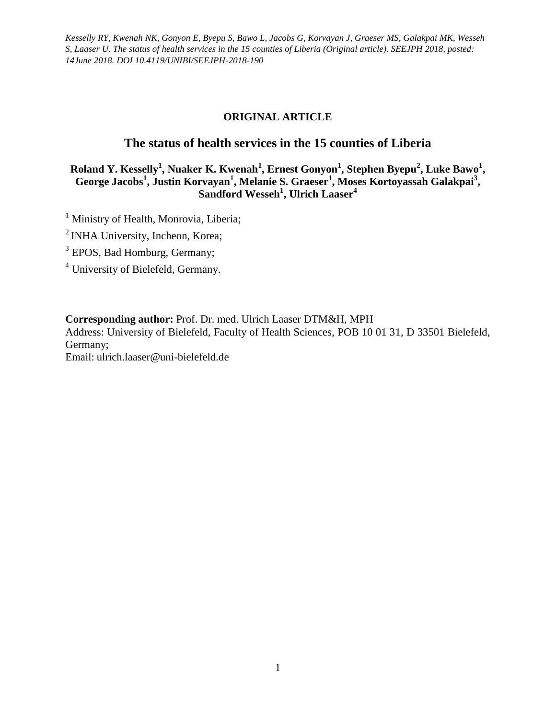# **ORIGINAL ARTICLE**

# **The status of health services in the 15 counties of Liberia**

**Roland Y. Kesselly<sup>1</sup> , Nuaker K. Kwenah<sup>1</sup> , Ernest Gonyon<sup>1</sup> , Stephen Byepu<sup>2</sup> , Luke Bawo<sup>1</sup> ,**  George Jacobs<sup>1</sup>, Justin Korvayan<sup>1</sup>, Melanie S. Graeser<sup>1</sup>, Moses Kortoyassah Galakpai<sup>3</sup>, **Sandford Wesseh<sup>1</sup> , Ulrich Laaser<sup>4</sup>**

<sup>1</sup> Ministry of Health, Monrovia, Liberia;

<sup>2</sup> INHA University, Incheon, Korea;

<sup>3</sup> EPOS, Bad Homburg, Germany;

<sup>4</sup> University of Bielefeld, Germany.

**Corresponding author:** Prof. Dr. med. Ulrich Laaser DTM&H, MPH

Address: University of Bielefeld, Faculty of Health Sciences, POB 10 01 31, D 33501 Bielefeld, Germany;

Email: ulrich.laaser@uni-bielefeld.de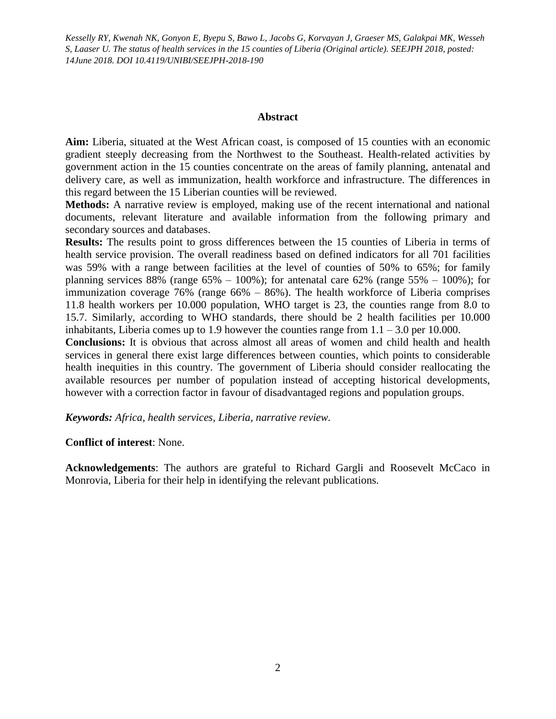#### **Abstract**

**Aim:** Liberia, situated at the West African coast, is composed of 15 counties with an economic gradient steeply decreasing from the Northwest to the Southeast. Health-related activities by government action in the 15 counties concentrate on the areas of family planning, antenatal and delivery care, as well as immunization, health workforce and infrastructure. The differences in this regard between the 15 Liberian counties will be reviewed.

**Methods:** A narrative review is employed, making use of the recent international and national documents, relevant literature and available information from the following primary and secondary sources and databases.

**Results:** The results point to gross differences between the 15 counties of Liberia in terms of health service provision. The overall readiness based on defined indicators for all 701 facilities was 59% with a range between facilities at the level of counties of 50% to 65%; for family planning services 88% (range  $65\% - 100\%$ ); for antenatal care  $62\%$  (range  $55\% - 100\%$ ); for immunization coverage 76% (range 66% – 86%). The health workforce of Liberia comprises 11.8 health workers per 10.000 population, WHO target is 23, the counties range from 8.0 to 15.7. Similarly, according to WHO standards, there should be 2 health facilities per 10.000 inhabitants, Liberia comes up to 1.9 however the counties range from  $1.1 - 3.0$  per 10.000.

**Conclusions:** It is obvious that across almost all areas of women and child health and health services in general there exist large differences between counties, which points to considerable health inequities in this country. The government of Liberia should consider reallocating the available resources per number of population instead of accepting historical developments, however with a correction factor in favour of disadvantaged regions and population groups.

*Keywords: Africa, health services, Liberia, narrative review.* 

#### **Conflict of interest**: None.

**Acknowledgements**: The authors are grateful to Richard Gargli and Roosevelt McCaco in Monrovia, Liberia for their help in identifying the relevant publications.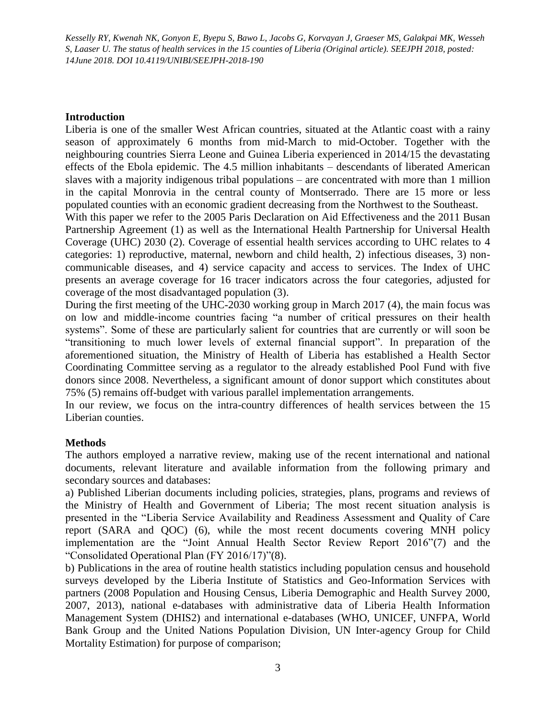#### **Introduction**

Liberia is one of the smaller West African countries, situated at the Atlantic coast with a rainy season of approximately 6 months from mid-March to mid-October. Together with the neighbouring countries Sierra Leone and Guinea Liberia experienced in 2014/15 the devastating effects of the Ebola epidemic. The 4.5 million inhabitants – descendants of liberated American slaves with a majority indigenous tribal populations – are concentrated with more than 1 million in the capital Monrovia in the central county of Montserrado. There are 15 more or less populated counties with an economic gradient decreasing from the Northwest to the Southeast.

With this paper we refer to the 2005 Paris Declaration on Aid Effectiveness and the 2011 Busan Partnership Agreement (1) as well as the International Health Partnership for Universal Health Coverage (UHC) 2030 (2). Coverage of essential health services according to UHC relates to 4 categories: 1) reproductive, maternal, newborn and child health, 2) infectious diseases, 3) noncommunicable diseases, and 4) service capacity and access to services. The Index of UHC presents an average coverage for 16 tracer indicators across the four categories, adjusted for coverage of the most disadvantaged population (3).

During the first meeting of the UHC-2030 working group in March 2017 (4), the main focus was on low and middle-income countries facing "a number of critical pressures on their health systems". Some of these are particularly salient for countries that are currently or will soon be ―transitioning to much lower levels of external financial support‖. In preparation of the aforementioned situation, the Ministry of Health of Liberia has established a Health Sector Coordinating Committee serving as a regulator to the already established Pool Fund with five donors since 2008. Nevertheless, a significant amount of donor support which constitutes about 75% (5) remains off-budget with various parallel implementation arrangements.

In our review, we focus on the intra-country differences of health services between the 15 Liberian counties.

## **Methods**

The authors employed a narrative review, making use of the recent international and national documents, relevant literature and available information from the following primary and secondary sources and databases:

a) Published Liberian documents including policies, strategies, plans, programs and reviews of the Ministry of Health and Government of Liberia; The most recent situation analysis is presented in the "Liberia Service Availability and Readiness Assessment and Quality of Care report (SARA and QOC) (6), while the most recent documents covering MNH policy implementation are the "Joint Annual Health Sector Review Report  $2016$ "(7) and the "Consolidated Operational Plan (FY 2016/17)"(8).

b) Publications in the area of routine health statistics including population census and household surveys developed by the Liberia Institute of Statistics and Geo-Information Services with partners (2008 Population and Housing Census, Liberia Demographic and Health Survey 2000, 2007, 2013), national e-databases with administrative data of Liberia Health Information Management System (DHIS2) and international e-databases (WHO, UNICEF, UNFPA, World Bank Group and the United Nations Population Division, UN Inter-agency Group for Child Mortality Estimation) for purpose of comparison;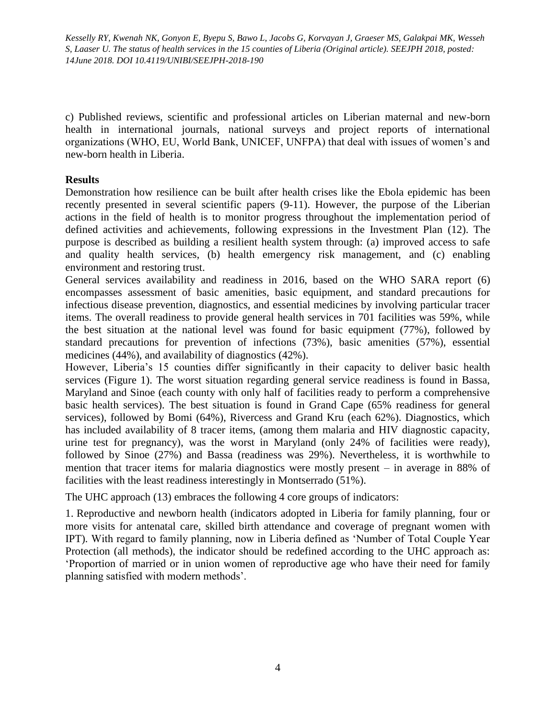c) Published reviews, scientific and professional articles on Liberian maternal and new-born health in international journals, national surveys and project reports of international organizations (WHO, EU, World Bank, UNICEF, UNFPA) that deal with issues of women's and new-born health in Liberia.

## **Results**

Demonstration how resilience can be built after health crises like the Ebola epidemic has been recently presented in several scientific papers (9-11). However, the purpose of the Liberian actions in the field of health is to monitor progress throughout the implementation period of defined activities and achievements, following expressions in the Investment Plan (12). The purpose is described as building a resilient health system through: (a) improved access to safe and quality health services, (b) health emergency risk management, and (c) enabling environment and restoring trust.

General services availability and readiness in 2016, based on the WHO SARA report (6) encompasses assessment of basic amenities, basic equipment, and standard precautions for infectious disease prevention, diagnostics, and essential medicines by involving particular tracer items. The overall readiness to provide general health services in 701 facilities was 59%, while the best situation at the national level was found for basic equipment (77%), followed by standard precautions for prevention of infections (73%), basic amenities (57%), essential medicines (44%), and availability of diagnostics (42%).

However, Liberia's 15 counties differ significantly in their capacity to deliver basic health services (Figure 1). The worst situation regarding general service readiness is found in Bassa, Maryland and Sinoe (each county with only half of facilities ready to perform a comprehensive basic health services). The best situation is found in Grand Cape (65% readiness for general services), followed by Bomi (64%), Rivercess and Grand Kru (each 62%). Diagnostics, which has included availability of 8 tracer items, (among them malaria and HIV diagnostic capacity, urine test for pregnancy), was the worst in Maryland (only 24% of facilities were ready), followed by Sinoe (27%) and Bassa (readiness was 29%). Nevertheless, it is worthwhile to mention that tracer items for malaria diagnostics were mostly present – in average in 88% of facilities with the least readiness interestingly in Montserrado (51%).

The UHC approach (13) embraces the following 4 core groups of indicators:

1. Reproductive and newborn health (indicators adopted in Liberia for family planning, four or more visits for antenatal care, skilled birth attendance and coverage of pregnant women with IPT). With regard to family planning, now in Liberia defined as 'Number of Total Couple Year Protection (all methods), the indicator should be redefined according to the UHC approach as: ‗Proportion of married or in union women of reproductive age who have their need for family planning satisfied with modern methods'.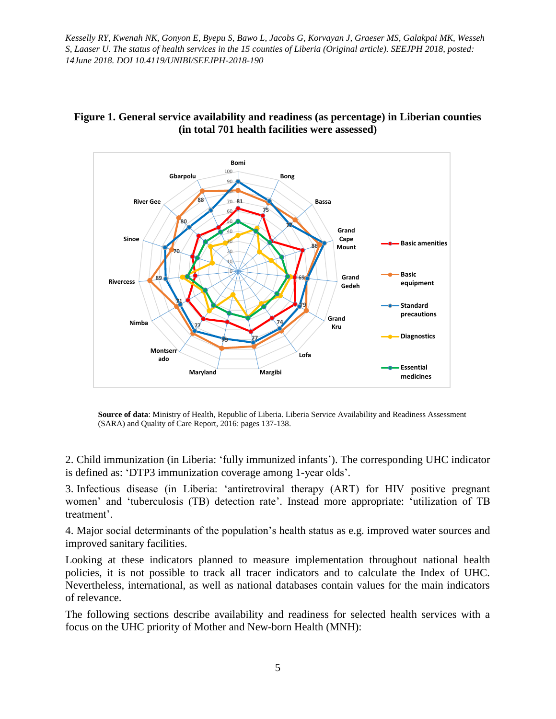

# **Figure 1. General service availability and readiness (as percentage) in Liberian counties (in total 701 health facilities were assessed)**

**Source of data**: Ministry of Health, Republic of Liberia. Liberia Service Availability and Readiness Assessment (SARA) and Quality of Care Report, 2016: pages 137-138.

2. Child immunization (in Liberia: ‗fully immunized infants'). The corresponding UHC indicator is defined as: 'DTP3 immunization coverage among 1-year olds'.

3. Infectious disease (in Liberia: ‗antiretroviral therapy (ART) for HIV positive pregnant women' and 'tuberculosis (TB) detection rate'. Instead more appropriate: 'utilization of TB treatment'.

4. Major social determinants of the population's health status as e.g. improved water sources and improved sanitary facilities.

Looking at these indicators planned to measure implementation throughout national health policies, it is not possible to track all tracer indicators and to calculate the Index of UHC. Nevertheless, international, as well as national databases contain values for the main indicators of relevance.

The following sections describe availability and readiness for selected health services with a focus on the UHC priority of Mother and New-born Health (MNH):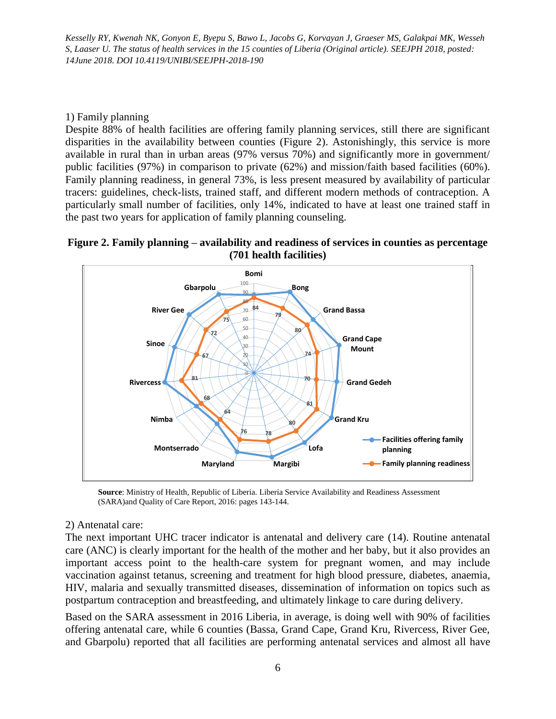# 1) Family planning

Despite 88% of health facilities are offering family planning services, still there are significant disparities in the availability between counties (Figure 2). Astonishingly, this service is more available in rural than in urban areas (97% versus 70%) and significantly more in government/ public facilities (97%) in comparison to private (62%) and mission/faith based facilities (60%). Family planning readiness, in general 73%, is less present measured by availability of particular tracers: guidelines, check-lists, trained staff, and different modern methods of contraception. A particularly small number of facilities, only 14%, indicated to have at least one trained staff in the past two years for application of family planning counseling.





**Source**: Ministry of Health, Republic of Liberia. Liberia Service Availability and Readiness Assessment (SARA)and Quality of Care Report, 2016: pages 143-144.

## 2) Antenatal care:

The next important UHC tracer indicator is antenatal and delivery care (14). Routine antenatal care (ANC) is clearly important for the health of the mother and her baby, but it also provides an important access point to the health-care system for pregnant women, and may include vaccination against tetanus, screening and treatment for high blood pressure, diabetes, anaemia, HIV, malaria and sexually transmitted diseases, dissemination of information on topics such as postpartum contraception and breastfeeding, and ultimately linkage to care during delivery.

Based on the SARA assessment in 2016 Liberia, in average, is doing well with 90% of facilities offering antenatal care, while 6 counties (Bassa, Grand Cape, Grand Kru, Rivercess, River Gee, and Gbarpolu) reported that all facilities are performing antenatal services and almost all have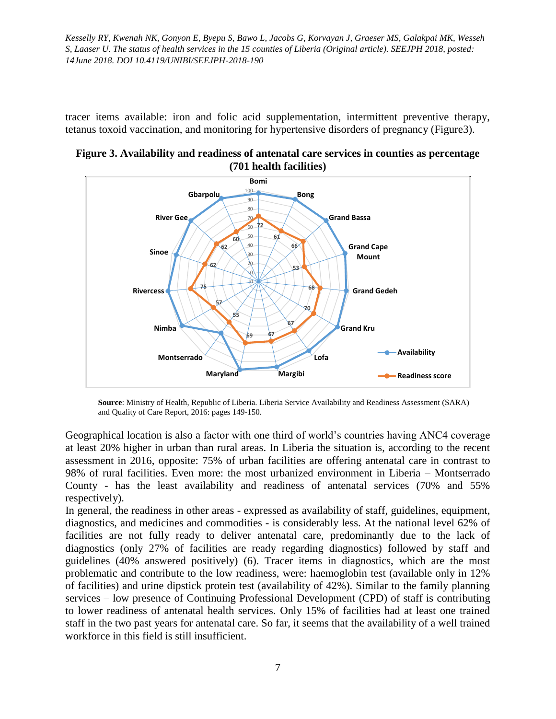tracer items available: iron and folic acid supplementation, intermittent preventive therapy, tetanus toxoid vaccination, and monitoring for hypertensive disorders of pregnancy (Figure3).





**Source**: Ministry of Health, Republic of Liberia. Liberia Service Availability and Readiness Assessment (SARA) and Quality of Care Report, 2016: pages 149-150.

Geographical location is also a factor with one third of world's countries having ANC4 coverage at least 20% higher in urban than rural areas. In Liberia the situation is, according to the recent assessment in 2016, opposite: 75% of urban facilities are offering antenatal care in contrast to 98% of rural facilities. Even more: the most urbanized environment in Liberia – Montserrado County - has the least availability and readiness of antenatal services (70% and 55% respectively).

In general, the readiness in other areas - expressed as availability of staff, guidelines, equipment, diagnostics, and medicines and commodities - is considerably less. At the national level 62% of facilities are not fully ready to deliver antenatal care, predominantly due to the lack of diagnostics (only 27% of facilities are ready regarding diagnostics) followed by staff and guidelines (40% answered positively) (6). Tracer items in diagnostics, which are the most problematic and contribute to the low readiness, were: haemoglobin test (available only in 12% of facilities) and urine dipstick protein test (availability of 42%). Similar to the family planning services – low presence of Continuing Professional Development (CPD) of staff is contributing to lower readiness of antenatal health services. Only 15% of facilities had at least one trained staff in the two past years for antenatal care. So far, it seems that the availability of a well trained workforce in this field is still insufficient.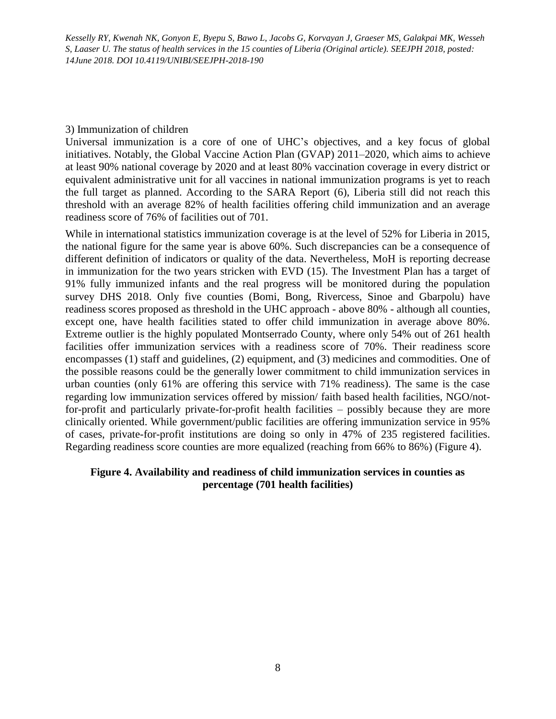### 3) Immunization of children

Universal immunization is a core of one of UHC's objectives, and a key focus of global initiatives. Notably, the Global Vaccine Action Plan (GVAP) 2011–2020, which aims to achieve at least 90% national coverage by 2020 and at least 80% vaccination coverage in every district or equivalent administrative unit for all vaccines in national immunization programs is yet to reach the full target as planned. According to the SARA Report (6), Liberia still did not reach this threshold with an average 82% of health facilities offering child immunization and an average readiness score of 76% of facilities out of 701.

While in international statistics immunization coverage is at the level of 52% for Liberia in 2015, the national figure for the same year is above 60%. Such discrepancies can be a consequence of different definition of indicators or quality of the data. Nevertheless, MoH is reporting decrease in immunization for the two years stricken with EVD (15). The Investment Plan has a target of 91% fully immunized infants and the real progress will be monitored during the population survey DHS 2018. Only five counties (Bomi, Bong, Rivercess, Sinoe and Gbarpolu) have readiness scores proposed as threshold in the UHC approach - above 80% - although all counties, except one, have health facilities stated to offer child immunization in average above 80%. Extreme outlier is the highly populated Montserrado County, where only 54% out of 261 health facilities offer immunization services with a readiness score of 70%. Their readiness score encompasses (1) staff and guidelines, (2) equipment, and (3) medicines and commodities. One of the possible reasons could be the generally lower commitment to child immunization services in urban counties (only 61% are offering this service with 71% readiness). The same is the case regarding low immunization services offered by mission/ faith based health facilities, NGO/notfor-profit and particularly private-for-profit health facilities – possibly because they are more clinically oriented. While government/public facilities are offering immunization service in 95% of cases, private-for-profit institutions are doing so only in 47% of 235 registered facilities. Regarding readiness score counties are more equalized (reaching from 66% to 86%) (Figure 4).

### **Figure 4. Availability and readiness of child immunization services in counties as percentage (701 health facilities)**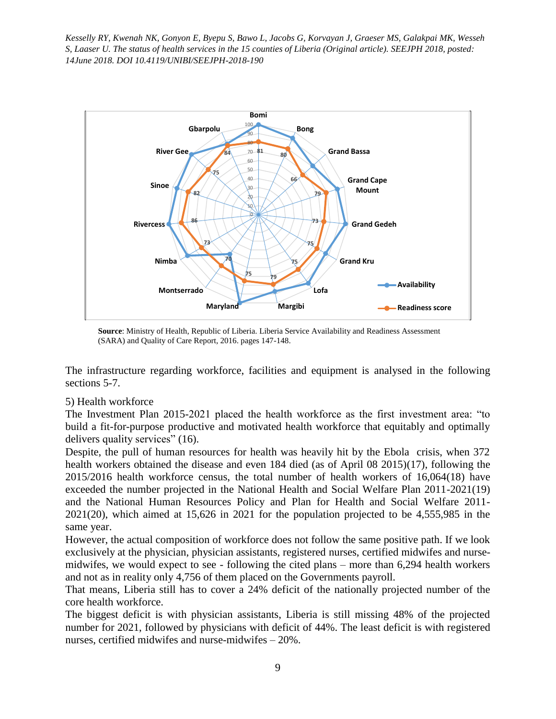

**Source**: Ministry of Health, Republic of Liberia. Liberia Service Availability and Readiness Assessment (SARA) and Quality of Care Report, 2016. pages 147-148.

The infrastructure regarding workforce, facilities and equipment is analysed in the following sections 5-7.

## 5) Health workforce

The Investment Plan 2015-2021 placed the health workforce as the first investment area: "to build a fit-for-purpose productive and motivated health workforce that equitably and optimally delivers quality services" (16).

Despite, the pull of human resources for health was heavily hit by the Ebola crisis, when 372 health workers obtained the disease and even 184 died (as of April 08 2015)(17), following the 2015/2016 health workforce census, the total number of health workers of 16,064(18) have exceeded the number projected in the National Health and Social Welfare Plan 2011-2021(19) and the National Human Resources Policy and Plan for Health and Social Welfare 2011- 2021(20), which aimed at 15,626 in 2021 for the population projected to be 4,555,985 in the same year.

However, the actual composition of workforce does not follow the same positive path. If we look exclusively at the physician, physician assistants, registered nurses, certified midwifes and nursemidwifes, we would expect to see - following the cited plans – more than 6,294 health workers and not as in reality only 4,756 of them placed on the Governments payroll.

That means, Liberia still has to cover a 24% deficit of the nationally projected number of the core health workforce.

The biggest deficit is with physician assistants, Liberia is still missing 48% of the projected number for 2021, followed by physicians with deficit of 44%. The least deficit is with registered nurses, certified midwifes and nurse-midwifes – 20%.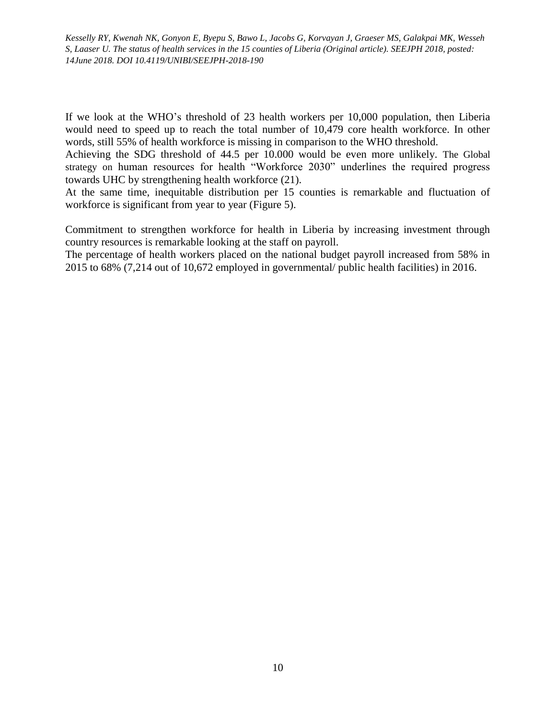If we look at the WHO's threshold of 23 health workers per 10,000 population, then Liberia would need to speed up to reach the total number of 10,479 core health workforce. In other words, still 55% of health workforce is missing in comparison to the WHO threshold.

Achieving the SDG threshold of 44.5 per 10.000 would be even more unlikely. The Global strategy on human resources for health "Workforce 2030" underlines the required progress towards UHC by strengthening health workforce (21).

At the same time, inequitable distribution per 15 counties is remarkable and fluctuation of workforce is significant from year to year (Figure 5).

Commitment to strengthen workforce for health in Liberia by increasing investment through country resources is remarkable looking at the staff on payroll.

The percentage of health workers placed on the national budget payroll increased from 58% in 2015 to 68% (7,214 out of 10,672 employed in governmental/ public health facilities) in 2016.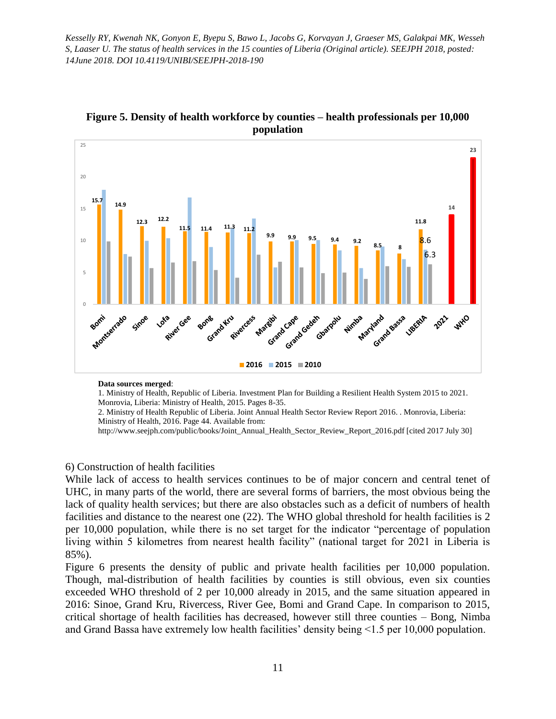

**Figure 5. Density of health workforce by counties – health professionals per 10,000 population**

**Data sources merged**:

1. Ministry of Health, Republic of Liberia. Investment Plan for Building a Resilient Health System 2015 to 2021. Monrovia, Liberia: Ministry of Health, 2015. Pages 8-35.

2. Ministry of Health Republic of Liberia. Joint Annual Health Sector Review Report 2016. . Monrovia, Liberia: Ministry of Health, 2016. Page 44. Available from:

http://www.seejph.com/public/books/Joint\_Annual\_Health\_Sector\_Review\_Report\_2016.pdf [cited 2017 July 30]

#### 6) Construction of health facilities

While lack of access to health services continues to be of major concern and central tenet of UHC, in many parts of the world, there are several forms of barriers, the most obvious being the lack of quality health services; but there are also obstacles such as a deficit of numbers of health facilities and distance to the nearest one (22). The WHO global threshold for health facilities is 2 per 10,000 population, while there is no set target for the indicator "percentage of population living within 5 kilometres from nearest health facility" (national target for 2021 in Liberia is 85%).

Figure 6 presents the density of public and private health facilities per 10,000 population. Though, mal-distribution of health facilities by counties is still obvious, even six counties exceeded WHO threshold of 2 per 10,000 already in 2015, and the same situation appeared in 2016: Sinoe, Grand Kru, Rivercess, River Gee, Bomi and Grand Cape. In comparison to 2015, critical shortage of health facilities has decreased, however still three counties – Bong, Nimba and Grand Bassa have extremely low health facilities' density being <1.5 per 10,000 population.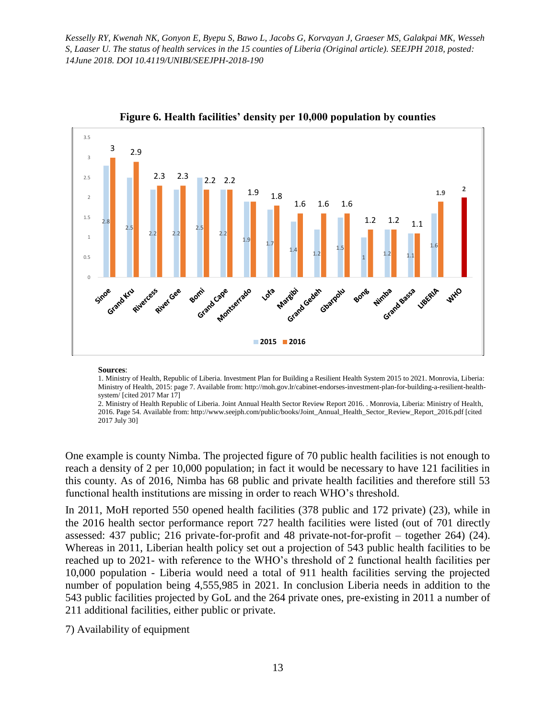

**Figure 6. Health facilities' density per 10,000 population by counties**

#### **Sources**:

1. Ministry of Health, Republic of Liberia. Investment Plan for Building a Resilient Health System 2015 to 2021. Monrovia, Liberia: Ministry of Health, 2015: page 7. Available from: http://moh.gov.lr/cabinet-endorses-investment-plan-for-building-a-resilient-healthsystem/ [cited 2017 Mar 17]

2. Ministry of Health Republic of Liberia. Joint Annual Health Sector Review Report 2016. . Monrovia, Liberia: Ministry of Health, 2016. Page 54. Available from: http://www.seejph.com/public/books/Joint\_Annual\_Health\_Sector\_Review\_Report\_2016.pdf [cited 2017 July 30]

One example is county Nimba. The projected figure of 70 public health facilities is not enough to reach a density of 2 per 10,000 population; in fact it would be necessary to have 121 facilities in this county. As of 2016, Nimba has 68 public and private health facilities and therefore still 53 functional health institutions are missing in order to reach WHO's threshold.

In 2011, MoH reported 550 opened health facilities (378 public and 172 private) (23), while in the 2016 health sector performance report 727 health facilities were listed (out of 701 directly assessed: 437 public; 216 private-for-profit and 48 private-not-for-profit – together 264) (24). Whereas in 2011, Liberian health policy set out a projection of 543 public health facilities to be reached up to 2021- with reference to the WHO's threshold of 2 functional health facilities per 10,000 population - Liberia would need a total of 911 health facilities serving the projected number of population being 4,555,985 in 2021. In conclusion Liberia needs in addition to the 543 public facilities projected by GoL and the 264 private ones, pre-existing in 2011 a number of 211 additional facilities, either public or private.

7) Availability of equipment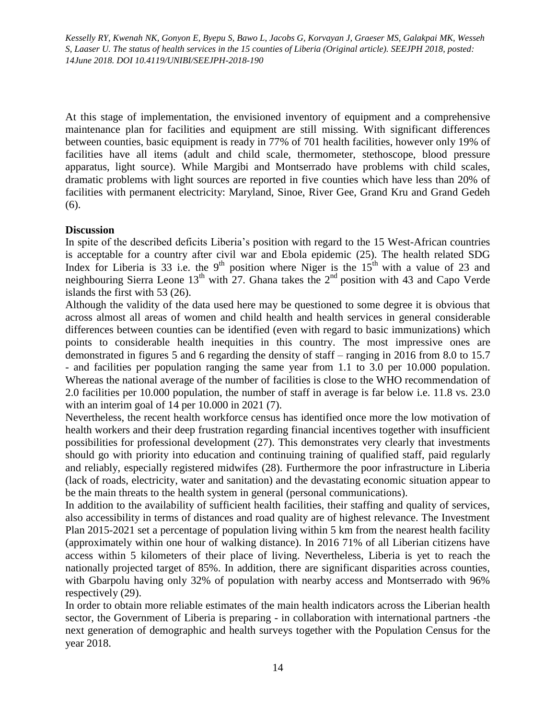At this stage of implementation, the envisioned inventory of equipment and a comprehensive maintenance plan for facilities and equipment are still missing. With significant differences between counties, basic equipment is ready in 77% of 701 health facilities, however only 19% of facilities have all items (adult and child scale, thermometer, stethoscope, blood pressure apparatus, light source). While Margibi and Montserrado have problems with child scales, dramatic problems with light sources are reported in five counties which have less than 20% of facilities with permanent electricity: Maryland, Sinoe, River Gee, Grand Kru and Grand Gedeh (6).

# **Discussion**

In spite of the described deficits Liberia's position with regard to the 15 West-African countries is acceptable for a country after civil war and Ebola epidemic (25). The health related SDG Index for Liberia is 33 i.e. the 9<sup>th</sup> position where Niger is the  $15<sup>th</sup>$  with a value of 23 and neighbouring Sierra Leone 13<sup>th</sup> with 27. Ghana takes the 2<sup>nd</sup> position with 43 and Capo Verde islands the first with 53 (26).

Although the validity of the data used here may be questioned to some degree it is obvious that across almost all areas of women and child health and health services in general considerable differences between counties can be identified (even with regard to basic immunizations) which points to considerable health inequities in this country. The most impressive ones are demonstrated in figures 5 and 6 regarding the density of staff – ranging in 2016 from 8.0 to 15.7 - and facilities per population ranging the same year from 1.1 to 3.0 per 10.000 population. Whereas the national average of the number of facilities is close to the WHO recommendation of 2.0 facilities per 10.000 population, the number of staff in average is far below i.e. 11.8 vs. 23.0 with an interim goal of 14 per 10.000 in 2021 (7).

Nevertheless, the recent health workforce census has identified once more the low motivation of health workers and their deep frustration regarding financial incentives together with insufficient possibilities for professional development (27). This demonstrates very clearly that investments should go with priority into education and continuing training of qualified staff, paid regularly and reliably, especially registered midwifes (28). Furthermore the poor infrastructure in Liberia (lack of roads, electricity, water and sanitation) and the devastating economic situation appear to be the main threats to the health system in general (personal communications).

In addition to the availability of sufficient health facilities, their staffing and quality of services, also accessibility in terms of distances and road quality are of highest relevance. The Investment Plan 2015-2021 set a percentage of population living within 5 km from the nearest health facility (approximately within one hour of walking distance). In 2016 71% of all Liberian citizens have access within 5 kilometers of their place of living. Nevertheless, Liberia is yet to reach the nationally projected target of 85%. In addition, there are significant disparities across counties, with Gbarpolu having only 32% of population with nearby access and Montserrado with 96% respectively (29).

In order to obtain more reliable estimates of the main health indicators across the Liberian health sector, the Government of Liberia is preparing - in collaboration with international partners -the next generation of demographic and health surveys together with the Population Census for the year 2018.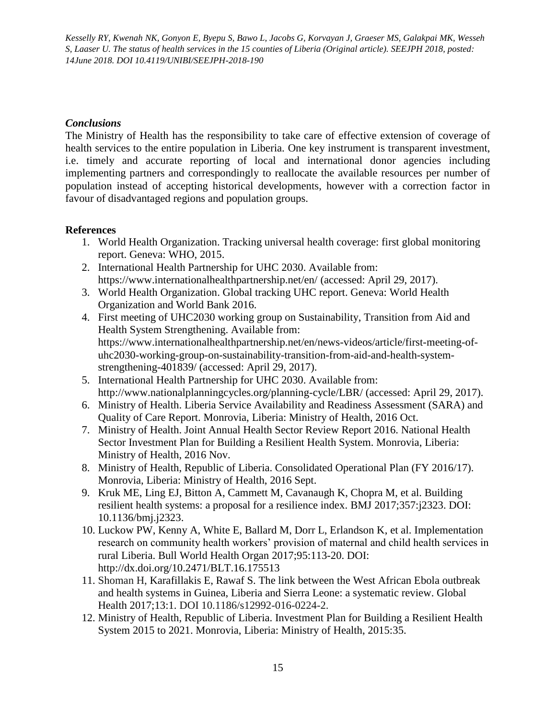# *Conclusions*

The Ministry of Health has the responsibility to take care of effective extension of coverage of health services to the entire population in Liberia. One key instrument is transparent investment, i.e. timely and accurate reporting of local and international donor agencies including implementing partners and correspondingly to reallocate the available resources per number of population instead of accepting historical developments, however with a correction factor in favour of disadvantaged regions and population groups.

# **References**

- 1. World Health Organization. Tracking universal health coverage: first global monitoring report. Geneva: WHO, 2015.
- 2. International Health Partnership for UHC 2030. Available from: https://www.internationalhealthpartnership.net/en/ (accessed: April 29, 2017).
- 3. World Health Organization. Global tracking UHC report. Geneva: World Health Organization and World Bank 2016.
- 4. First meeting of UHC2030 working group on Sustainability, Transition from Aid and Health System Strengthening. Available from: https://www.internationalhealthpartnership.net/en/news-videos/article/first-meeting-ofuhc2030-working-group-on-sustainability-transition-from-aid-and-health-systemstrengthening-401839/ (accessed: April 29, 2017).
- 5. International Health Partnership for UHC 2030. Available from: http://www.nationalplanningcycles.org/planning-cycle/LBR/ (accessed: April 29, 2017).
- 6. Ministry of Health. Liberia Service Availability and Readiness Assessment (SARA) and Quality of Care Report. Monrovia, Liberia: Ministry of Health, 2016 Oct.
- 7. Ministry of Health. Joint Annual Health Sector Review Report 2016. National Health Sector Investment Plan for Building a Resilient Health System. Monrovia, Liberia: Ministry of Health, 2016 Nov.
- 8. Ministry of Health, Republic of Liberia. Consolidated Operational Plan (FY 2016/17). Monrovia, Liberia: Ministry of Health, 2016 Sept.
- 9. Kruk ME, Ling EJ, Bitton A, Cammett M, Cavanaugh K, Chopra M, et al. Building resilient health systems: a proposal for a resilience index. BMJ 2017;357:j2323. DOI: 10.1136/bmj.j2323.
- 10. Luckow PW, Kenny A, White E, Ballard M, Dorr L, Erlandson K, et al. Implementation research on community health workers' provision of maternal and child health services in rural Liberia. Bull World Health Organ 2017;95:113-20. DOI: http://dx.doi.org/10.2471/BLT.16.175513
- 11. Shoman H, Karafillakis E, Rawaf S. The link between the West African Ebola outbreak and health systems in Guinea, Liberia and Sierra Leone: a systematic review. Global Health 2017;13:1. DOI 10.1186/s12992-016-0224-2.
- 12. Ministry of Health, Republic of Liberia. Investment Plan for Building a Resilient Health System 2015 to 2021. Monrovia, Liberia: Ministry of Health, 2015:35.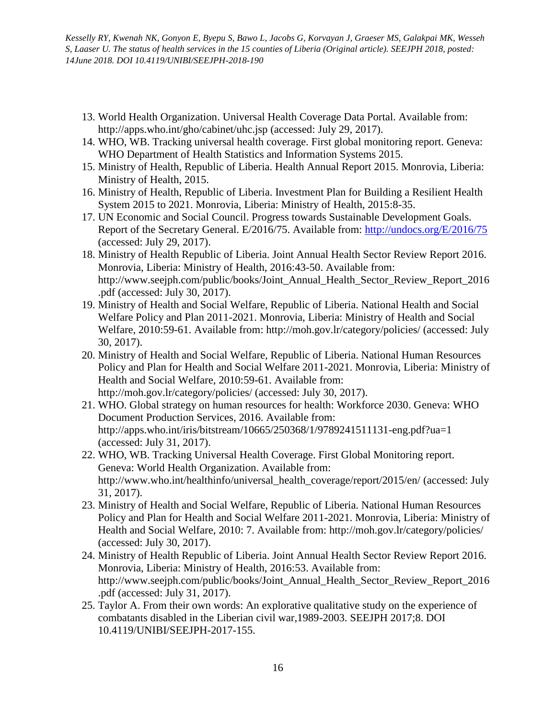- 13. World Health Organization. Universal Health Coverage Data Portal. Available from: http://apps.who.int/gho/cabinet/uhc.jsp (accessed: July 29, 2017).
- 14. WHO, WB. Tracking universal health coverage. First global monitoring report. Geneva: WHO Department of Health Statistics and Information Systems 2015.
- 15. Ministry of Health, Republic of Liberia. Health Annual Report 2015. Monrovia, Liberia: Ministry of Health, 2015.
- 16. Ministry of Health, Republic of Liberia. Investment Plan for Building a Resilient Health System 2015 to 2021. Monrovia, Liberia: Ministry of Health, 2015:8-35.
- 17. UN Economic and Social Council. Progress towards Sustainable Development Goals. Report of the Secretary General. E/2016/75. Available from: <http://undocs.org/E/2016/75> (accessed: July 29, 2017).
- 18. Ministry of Health Republic of Liberia. Joint Annual Health Sector Review Report 2016. Monrovia, Liberia: Ministry of Health, 2016:43-50. Available from: http://www.seejph.com/public/books/Joint\_Annual\_Health\_Sector\_Review\_Report\_2016 .pdf (accessed: July 30, 2017).
- 19. Ministry of Health and Social Welfare, Republic of Liberia. National Health and Social Welfare Policy and Plan 2011-2021. Monrovia, Liberia: Ministry of Health and Social Welfare, 2010:59-61. Available from: http://moh.gov.lr/category/policies/ (accessed: July 30, 2017).
- 20. Ministry of Health and Social Welfare, Republic of Liberia. National Human Resources Policy and Plan for Health and Social Welfare 2011-2021. Monrovia, Liberia: Ministry of Health and Social Welfare, 2010:59-61. Available from: http://moh.gov.lr/category/policies/ (accessed: July 30, 2017).
- 21. WHO. Global strategy on human resources for health: Workforce 2030. Geneva: WHO Document Production Services, 2016. Available from: http://apps.who.int/iris/bitstream/10665/250368/1/9789241511131-eng.pdf?ua=1 (accessed: July 31, 2017).
- 22. WHO, WB. Tracking Universal Health Coverage. First Global Monitoring report. Geneva: World Health Organization. Available from: http://www.who.int/healthinfo/universal\_health\_coverage/report/2015/en/ (accessed: July 31, 2017).
- 23. Ministry of Health and Social Welfare, Republic of Liberia. National Human Resources Policy and Plan for Health and Social Welfare 2011-2021. Monrovia, Liberia: Ministry of Health and Social Welfare, 2010: 7. Available from: http://moh.gov.lr/category/policies/ (accessed: July 30, 2017).
- 24. Ministry of Health Republic of Liberia. Joint Annual Health Sector Review Report 2016. Monrovia, Liberia: Ministry of Health, 2016:53. Available from: http://www.seejph.com/public/books/Joint\_Annual\_Health\_Sector\_Review\_Report\_2016 .pdf (accessed: July 31, 2017).
- 25. Taylor A. From their own words: An explorative qualitative study on the experience of combatants disabled in the Liberian civil war,1989-2003. SEEJPH 2017;8. DOI 10.4119/UNIBI/SEEJPH-2017-155.